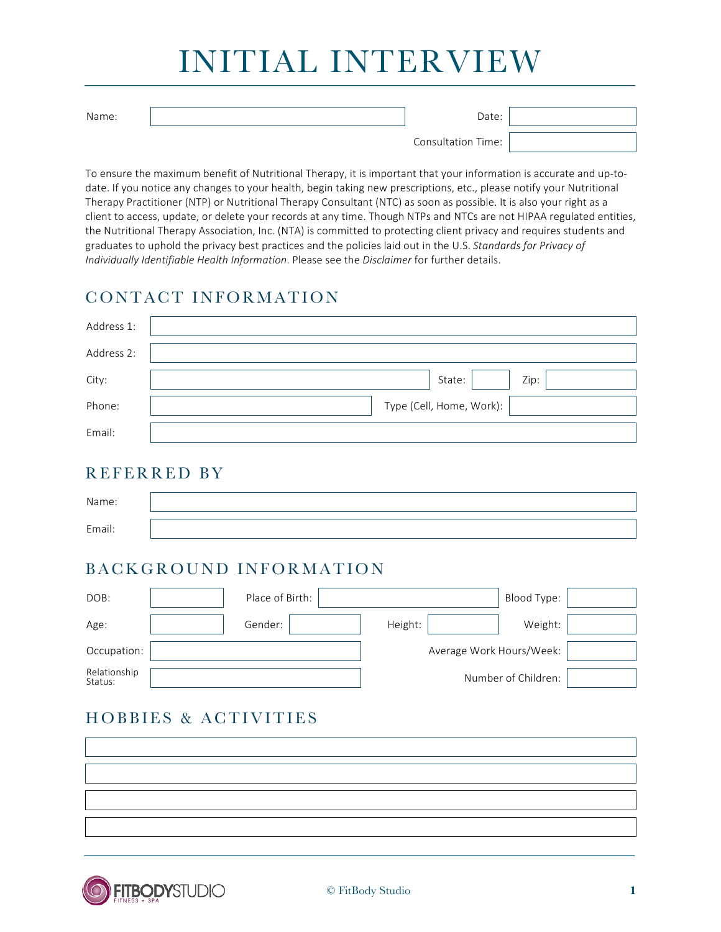Name: Date:

Consultation Time:

To ensure the maximum benefit of Nutritional Therapy, it is important that your information is accurate and up-todate. If you notice any changes to your health, begin taking new prescriptions, etc., please notify your Nutritional Therapy Practitioner (NTP) or Nutritional Therapy Consultant (NTC) as soon as possible. It is also your right as a client to access, update, or delete your records at any time. Though NTPs and NTCs are not HIPAA regulated entities, the Nutritional Therapy Association, Inc. (NTA) is committed to protecting client privacy and requires students and graduates to uphold the privacy best practices and the policies laid out in the U.S. Standards for Privacy of *Individually Identifiable Health Information*. Please see the *Disclaimer* for further details.

### CONTACT INFORMATION

| Address 1: |                          |
|------------|--------------------------|
| Address 2: |                          |
| City:      | Zip:<br>State:           |
| Phone:     | Type (Cell, Home, Work): |
| Email:     |                          |

#### REFERRED BY

| Name:  |  |
|--------|--|
| Email: |  |

### BACKGROUND INFORMATION

| DOB:                    | Place of Birth: |                          | Blood Type:         |  |
|-------------------------|-----------------|--------------------------|---------------------|--|
| Age:                    | Gender:         | Height:                  | Weight:             |  |
| Occupation:             |                 | Average Work Hours/Week: |                     |  |
| Relationship<br>Status: |                 |                          | Number of Children: |  |

# HOBBIES & ACTIVITIES

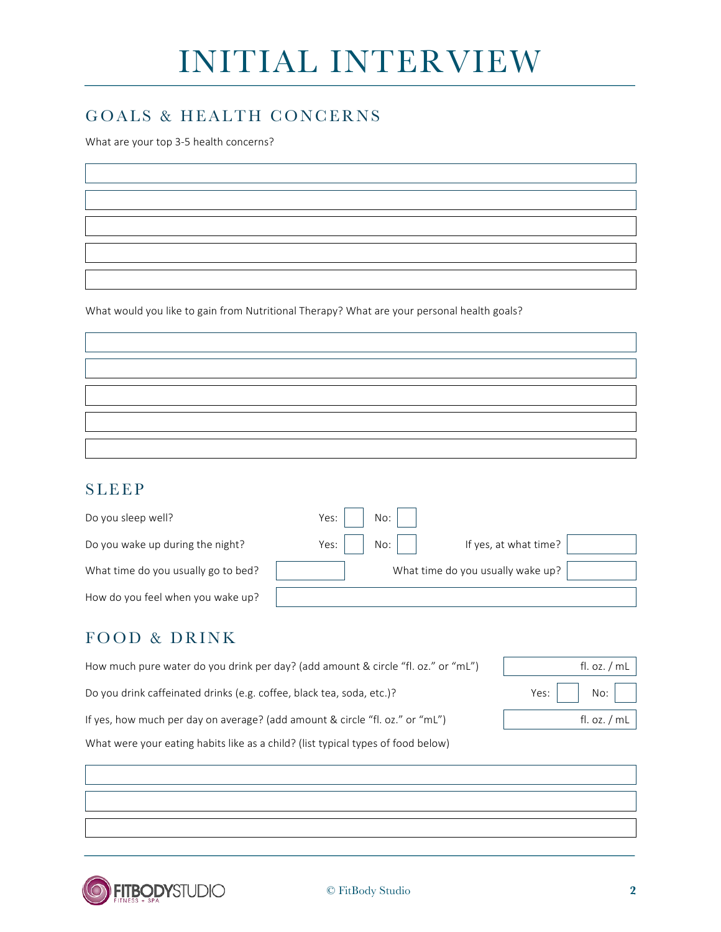### GOALS & HEALTH CONCERNS

What are your top 3-5 health concerns?

What would you like to gain from Nutritional Therapy? What are your personal health goals?

#### SLEEP

| Do you sleep well?                  | No:<br>Yes:   |                                   |
|-------------------------------------|---------------|-----------------------------------|
| Do you wake up during the night?    | No:<br>Yes: I | If yes, at what time?             |
| What time do you usually go to bed? |               | What time do you usually wake up? |
| How do you feel when you wake up?   |               |                                   |

### FOOD & DRINK

| How much pure water do you drink per day? (add amount & circle "fl. oz." or "mL") | fl. oz. $/mL$                            |  |  |
|-----------------------------------------------------------------------------------|------------------------------------------|--|--|
| Do you drink caffeinated drinks (e.g. coffee, black tea, soda, etc.)?             | Yes: $\vert$ $\vert$ No: $\vert$ $\vert$ |  |  |
| If yes, how much per day on average? (add amount & circle "fl. oz." or "mL")      | fl. oz. $/mL$                            |  |  |
| What were your eating habits like as a child? (list typical types of food below)  |                                          |  |  |

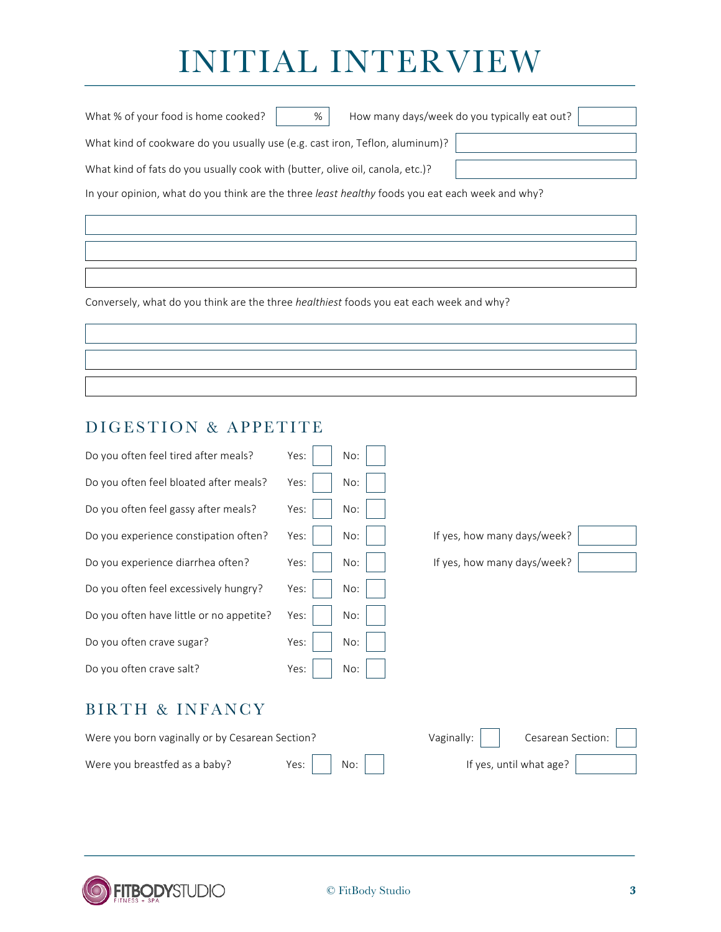| What % of your food is home cooked?<br>%                                                        | How many days/week do you typically eat out? |  |  |  |
|-------------------------------------------------------------------------------------------------|----------------------------------------------|--|--|--|
| What kind of cookware do you usually use (e.g. cast iron, Teflon, aluminum)?                    |                                              |  |  |  |
| What kind of fats do you usually cook with (butter, olive oil, canola, etc.)?                   |                                              |  |  |  |
| In your opinion, what do you think are the three least healthy foods you eat each week and why? |                                              |  |  |  |

Conversely, what do you think are the three *healthiest* foods you eat each week and why?

#### DIGESTION & APPETITE

| Do you often feel tired after meals?            | Yes:<br>No: |                                 |
|-------------------------------------------------|-------------|---------------------------------|
| Do you often feel bloated after meals?          | No:<br>Yes: |                                 |
| Do you often feel gassy after meals?            | Yes:<br>No: |                                 |
| Do you experience constipation often?           | No:<br>Yes: | If yes, how many days/week?     |
| Do you experience diarrhea often?               | Yes:<br>No: | If yes, how many days/week?     |
| Do you often feel excessively hungry?           | No:<br>Yes: |                                 |
| Do you often have little or no appetite?        | No:<br>Yes: |                                 |
| Do you often crave sugar?                       | Yes:<br>No: |                                 |
| Do you often crave salt?                        | Yes:<br>No: |                                 |
| BIRTH & INFANCY                                 |             |                                 |
| Were you born vaginally or by Cesarean Section? |             | Cesarean Section:<br>Vaginally: |
| Were you breastfed as a baby?                   | Yes:<br>No: | If yes, until what age?         |

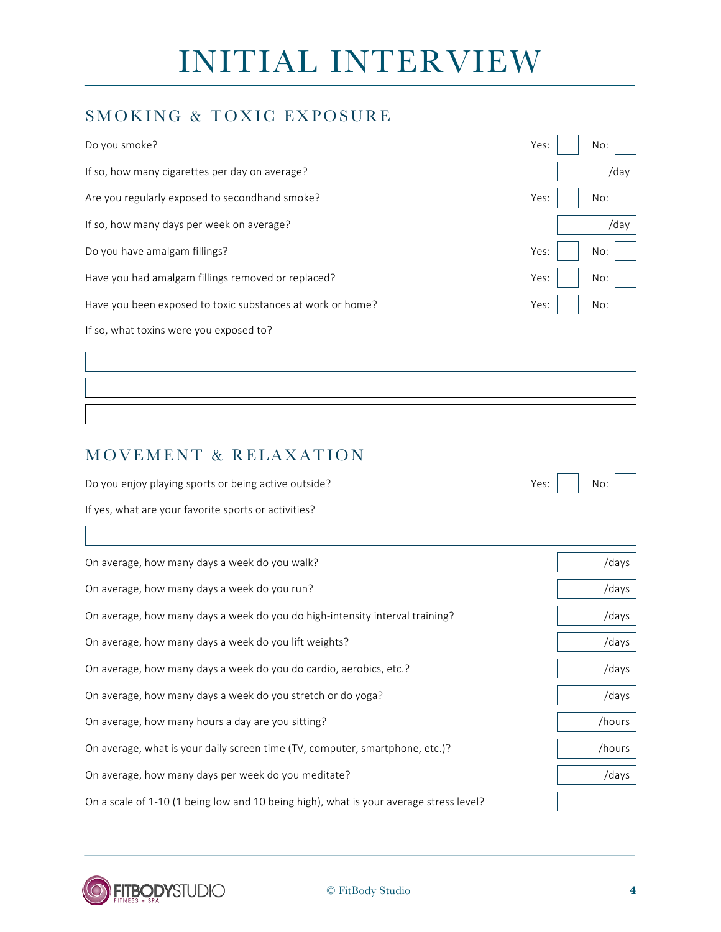### SMOKING & TOXIC EXPOSURE

| Do you smoke?                                              | Yes:<br>No: |
|------------------------------------------------------------|-------------|
| If so, how many cigarettes per day on average?             | /day        |
| Are you regularly exposed to secondhand smoke?             | Yes:<br>No: |
| If so, how many days per week on average?                  | /day        |
| Do you have amalgam fillings?                              | Yes:<br>No: |
| Have you had amalgam fillings removed or replaced?         | Yes:<br>No: |
| Have you been exposed to toxic substances at work or home? | Yes:<br>No: |
| If so, what toxins were you exposed to?                    |             |

## MOVEMENT & RELAXATION

Do you enjoy playing sports or being active outside? Yes: No:

| u |  |
|---|--|

If yes, what are your favorite sports or activities?

| On average, how many days a week do you walk?                                          | /days  |
|----------------------------------------------------------------------------------------|--------|
| On average, how many days a week do you run?                                           | /days  |
| On average, how many days a week do you do high-intensity interval training?           | /days  |
| On average, how many days a week do you lift weights?                                  | /days  |
| On average, how many days a week do you do cardio, aerobics, etc.?                     | /days  |
| On average, how many days a week do you stretch or do yoga?                            | /days  |
| On average, how many hours a day are you sitting?                                      | /hours |
| On average, what is your daily screen time (TV, computer, smartphone, etc.)?           | /hours |
| On average, how many days per week do you meditate?                                    | /days  |
| On a scale of 1-10 (1 being low and 10 being high), what is your average stress level? |        |

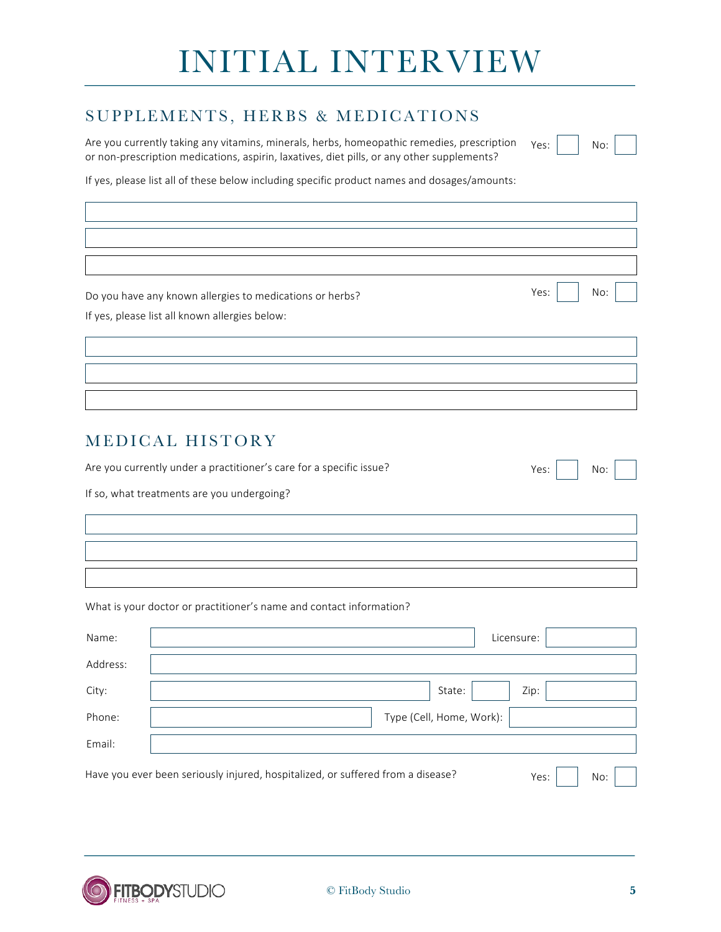#### SUPPLEMENTS, HERBS & MEDICATIONS

Are you currently taking any vitamins, minerals, herbs, homeopathic remedies, prescription or non-prescription medications, aspirin, laxatives, diet pills, or any other supplements? Yes: No:

If yes, please list all of these below including specific product names and dosages/amounts:

Do you have any known allergies to medications or herbs? No: No: No: No: No: No:

If yes, please list all known allergies below:

#### MEDICAL HISTORY

Are you currently under a practitioner's care for a specific issue? Yes: No:

If so, what treatments are you undergoing?

What is your doctor or practitioner's name and contact information?

| Name:    | Licensure:                                                                      |      |     |  |
|----------|---------------------------------------------------------------------------------|------|-----|--|
| Address: |                                                                                 |      |     |  |
| City:    | Zip:<br>State:                                                                  |      |     |  |
| Phone:   | Type (Cell, Home, Work):                                                        |      |     |  |
| Email:   |                                                                                 |      |     |  |
|          | Have you ever been seriously injured, hospitalized, or suffered from a disease? | Yes: | No: |  |

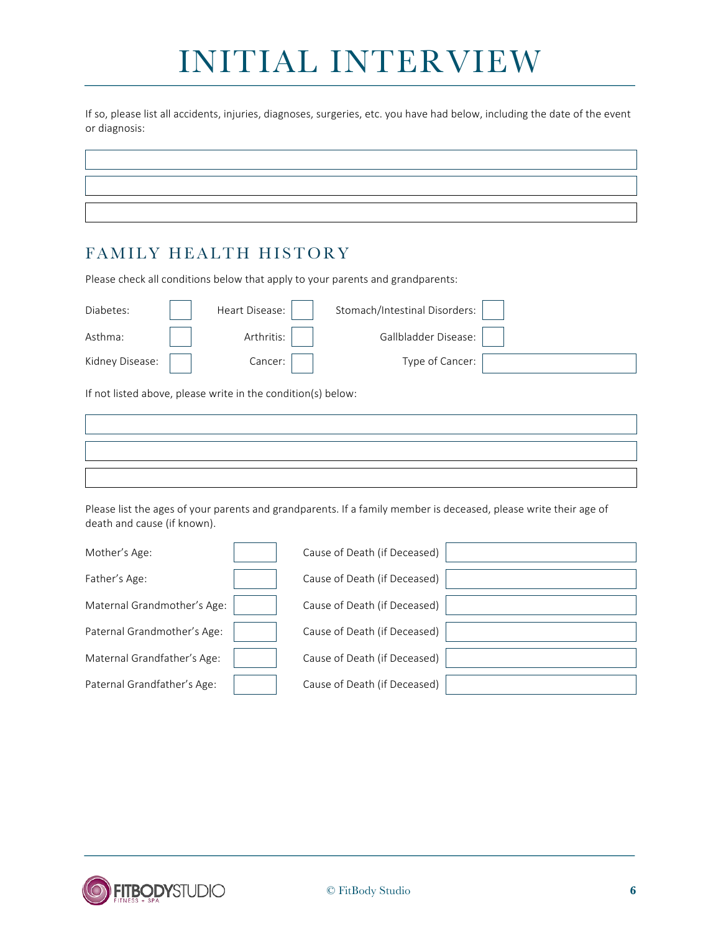If so, please list all accidents, injuries, diagnoses, surgeries, etc. you have had below, including the date of the event or diagnosis:

#### FAMILY HEALTH HISTORY

Please check all conditions below that apply to your parents and grandparents:

| Diabetes:       | Heart Disease: | Stomach/Intestinal Disorders: |  |
|-----------------|----------------|-------------------------------|--|
| Asthma:         | Arthritis:     | Gallbladder Disease:          |  |
| Kidney Disease: | Cancer:        | Type of Cancer:               |  |

If not listed above, please write in the condition(s) below:

Please list the ages of your parents and grandparents. If a family member is deceased, please write their age of death and cause (if known).

| Mother's Age:               | Cause of Death (if Deceased) |  |
|-----------------------------|------------------------------|--|
| Father's Age:               | Cause of Death (if Deceased) |  |
| Maternal Grandmother's Age: | Cause of Death (if Deceased) |  |
| Paternal Grandmother's Age: | Cause of Death (if Deceased) |  |
| Maternal Grandfather's Age: | Cause of Death (if Deceased) |  |
| Paternal Grandfather's Age: | Cause of Death (if Deceased) |  |

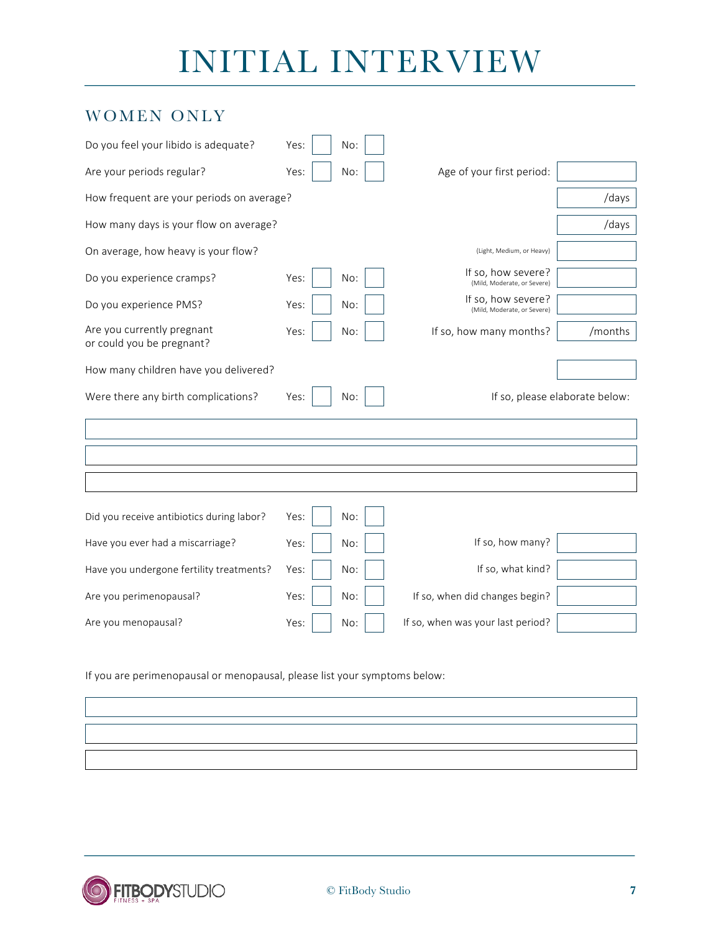### WOMEN ONLY

| Do you feel your libido is adequate?                    | Yes: | No: |                                                   |         |  |
|---------------------------------------------------------|------|-----|---------------------------------------------------|---------|--|
| Are your periods regular?                               | Yes: | No: | Age of your first period:                         |         |  |
| How frequent are your periods on average?               |      |     |                                                   | /days   |  |
| How many days is your flow on average?                  |      |     |                                                   | /days   |  |
| On average, how heavy is your flow?                     |      |     | (Light, Medium, or Heavy)                         |         |  |
| Do you experience cramps?                               | Yes: | No: | If so, how severe?<br>(Mild, Moderate, or Severe) |         |  |
| Do you experience PMS?                                  | Yes: | No: | If so, how severe?<br>(Mild, Moderate, or Severe) |         |  |
| Are you currently pregnant<br>or could you be pregnant? | Yes: | No: | If so, how many months?                           | /months |  |
| How many children have you delivered?                   |      |     |                                                   |         |  |
| Were there any birth complications?                     | Yes: | No: | If so, please elaborate below:                    |         |  |
|                                                         |      |     |                                                   |         |  |
|                                                         |      |     |                                                   |         |  |
|                                                         |      |     |                                                   |         |  |
| Did you receive antibiotics during labor?               | Yes: | No: |                                                   |         |  |
| Have you ever had a miscarriage?                        | Yes: | No: | If so, how many?                                  |         |  |
| Have you undergone fertility treatments?                | Yes: | No: | If so, what kind?                                 |         |  |
| Are you perimenopausal?                                 | Yes: | No: | If so, when did changes begin?                    |         |  |
| Are you menopausal?                                     | Yes: | No: | If so, when was your last period?                 |         |  |

If you are perimenopausal or menopausal, please list your symptoms below: